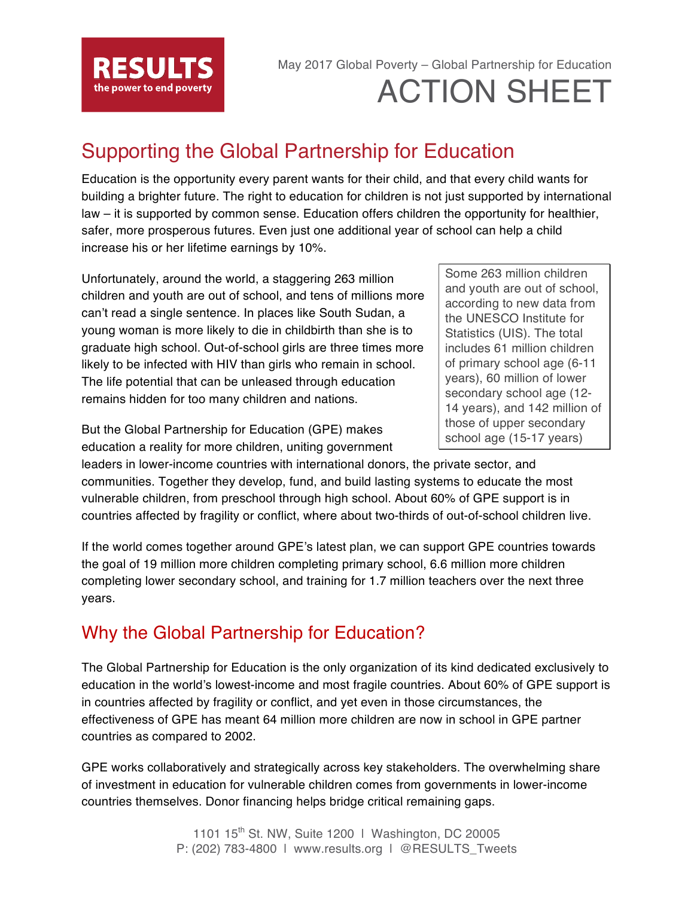

# May 2017 Global Poverty – Global Partnership for Education ACTION SHEET

## Supporting the Global Partnership for Education

Education is the opportunity every parent wants for their child, and that every child wants for building a brighter future. The right to education for children is not just supported by international law – it is supported by common sense. Education offers children the opportunity for healthier, safer, more prosperous futures. Even just one additional year of school can help a child increase his or her lifetime earnings by 10%.

Unfortunately, around the world, a staggering 263 million children and youth are out of school, and tens of millions more can't read a single sentence. In places like South Sudan, a young woman is more likely to die in childbirth than she is to graduate high school. Out-of-school girls are three times more likely to be infected with HIV than girls who remain in school. The life potential that can be unleased through education remains hidden for too many children and nations.

But the Global Partnership for Education (GPE) makes education a reality for more children, uniting government

Some 263 million children and youth are out of school, according to new data from the UNESCO Institute for Statistics (UIS). The total includes 61 million children of primary school age (6-11 years), 60 million of lower secondary school age (12- 14 years), and 142 million of those of upper secondary school age (15-17 years)

leaders in lower-income countries with international donors, the private sector, and communities. Together they develop, fund, and build lasting systems to educate the most vulnerable children, from preschool through high school. About 60% of GPE support is in countries affected by fragility or conflict, where about two-thirds of out-of-school children live.

If the world comes together around GPE's latest plan, we can support GPE countries towards the goal of 19 million more children completing primary school, 6.6 million more children completing lower secondary school, and training for 1.7 million teachers over the next three years.

### Why the Global Partnership for Education?

The Global Partnership for Education is the only organization of its kind dedicated exclusively to education in the world's lowest-income and most fragile countries. About 60% of GPE support is in countries affected by fragility or conflict, and yet even in those circumstances, the effectiveness of GPE has meant 64 million more children are now in school in GPE partner countries as compared to 2002.

GPE works collaboratively and strategically across key stakeholders. The overwhelming share of investment in education for vulnerable children comes from governments in lower-income countries themselves. Donor financing helps bridge critical remaining gaps.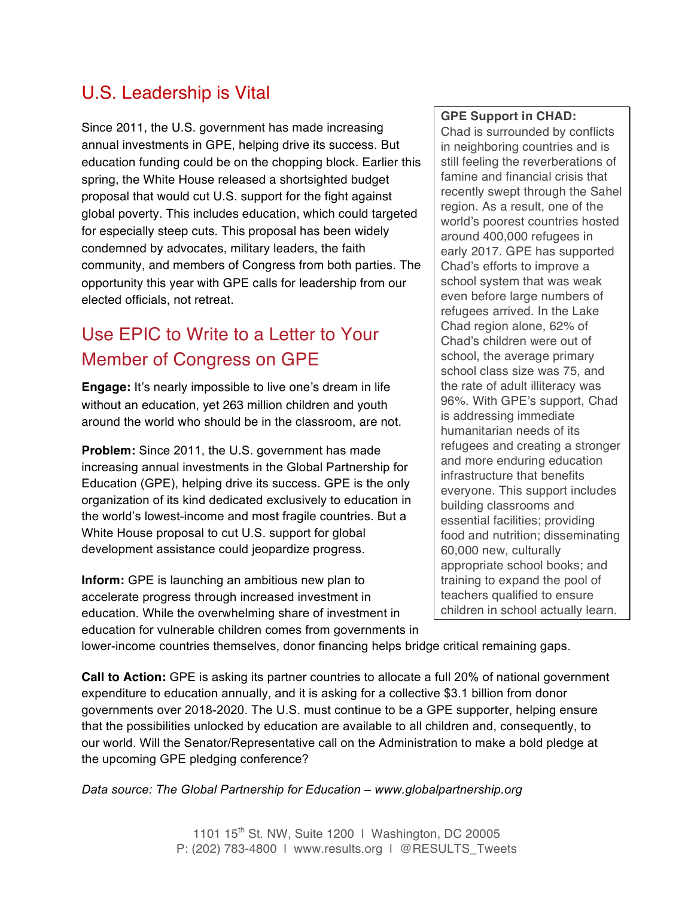### U.S. Leadership is Vital

Since 2011, the U.S. government has made increasing annual investments in GPE, helping drive its success. But education funding could be on the chopping block. Earlier this spring, the White House released a shortsighted budget proposal that would cut U.S. support for the fight against global poverty. This includes education, which could targeted for especially steep cuts. This proposal has been widely condemned by advocates, military leaders, the faith community, and members of Congress from both parties. The opportunity this year with GPE calls for leadership from our elected officials, not retreat.

### Use EPIC to Write to a Letter to Your Member of Congress on GPE

**Engage:** It's nearly impossible to live one's dream in life without an education, yet 263 million children and youth around the world who should be in the classroom, are not.

**Problem:** Since 2011, the U.S. government has made increasing annual investments in the Global Partnership for Education (GPE), helping drive its success. GPE is the only organization of its kind dedicated exclusively to education in the world's lowest-income and most fragile countries. But a White House proposal to cut U.S. support for global development assistance could jeopardize progress.

**Inform:** GPE is launching an ambitious new plan to accelerate progress through increased investment in education. While the overwhelming share of investment in education for vulnerable children comes from governments in

#### **GPE Support in CHAD:**

Chad is surrounded by conflicts in neighboring countries and is still feeling the reverberations of famine and financial crisis that recently swept through the Sahel region. As a result, one of the world's poorest countries hosted around 400,000 refugees in early 2017. GPE has supported Chad's efforts to improve a school system that was weak even before large numbers of refugees arrived. In the Lake Chad region alone, 62% of Chad's children were out of school, the average primary school class size was 75, and the rate of adult illiteracy was 96%. With GPE's support, Chad is addressing immediate humanitarian needs of its refugees and creating a stronger and more enduring education infrastructure that benefits everyone. This support includes building classrooms and essential facilities; providing food and nutrition; disseminating 60,000 new, culturally appropriate school books; and training to expand the pool of teachers qualified to ensure children in school actually learn.

lower-income countries themselves, donor financing helps bridge critical remaining gaps.

**Call to Action:** GPE is asking its partner countries to allocate a full 20% of national government expenditure to education annually, and it is asking for a collective \$3.1 billion from donor governments over 2018-2020. The U.S. must continue to be a GPE supporter, helping ensure that the possibilities unlocked by education are available to all children and, consequently, to our world. Will the Senator/Representative call on the Administration to make a bold pledge at the upcoming GPE pledging conference?

*Data source: The Global Partnership for Education – www.globalpartnership.org*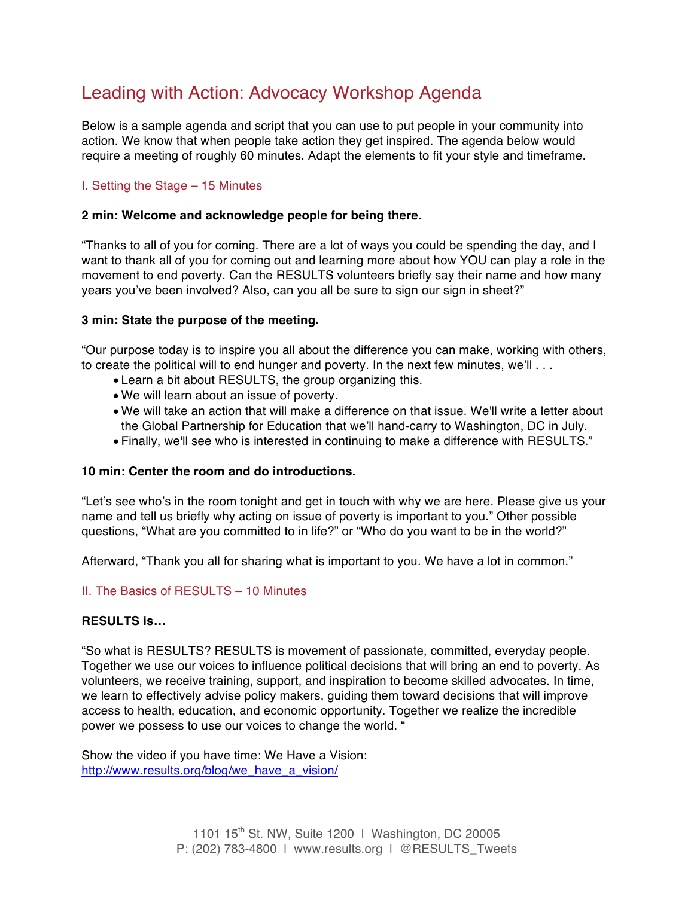### Leading with Action: Advocacy Workshop Agenda

Below is a sample agenda and script that you can use to put people in your community into action. We know that when people take action they get inspired. The agenda below would require a meeting of roughly 60 minutes. Adapt the elements to fit your style and timeframe.

#### I. Setting the Stage – 15 Minutes

#### **2 min: Welcome and acknowledge people for being there.**

"Thanks to all of you for coming. There are a lot of ways you could be spending the day, and I want to thank all of you for coming out and learning more about how YOU can play a role in the movement to end poverty. Can the RESULTS volunteers briefly say their name and how many years you've been involved? Also, can you all be sure to sign our sign in sheet?"

#### **3 min: State the purpose of the meeting.**

"Our purpose today is to inspire you all about the difference you can make, working with others, to create the political will to end hunger and poverty. In the next few minutes, we'll ...

- Learn a bit about RESULTS, the group organizing this.
- We will learn about an issue of poverty.
- We will take an action that will make a difference on that issue. We'll write a letter about the Global Partnership for Education that we'll hand-carry to Washington, DC in July.
- Finally, we'll see who is interested in continuing to make a difference with RESULTS."

#### **10 min: Center the room and do introductions.**

"Let's see who's in the room tonight and get in touch with why we are here. Please give us your name and tell us briefly why acting on issue of poverty is important to you." Other possible questions, "What are you committed to in life?" or "Who do you want to be in the world?"

Afterward, "Thank you all for sharing what is important to you. We have a lot in common."

#### II. The Basics of RESULTS – 10 Minutes

#### **RESULTS is…**

"So what is RESULTS? RESULTS is movement of passionate, committed, everyday people. Together we use our voices to influence political decisions that will bring an end to poverty. As volunteers, we receive training, support, and inspiration to become skilled advocates. In time, we learn to effectively advise policy makers, guiding them toward decisions that will improve access to health, education, and economic opportunity. Together we realize the incredible power we possess to use our voices to change the world. "

Show the video if you have time: We Have a Vision: http://www.results.org/blog/we\_have\_a\_vision/